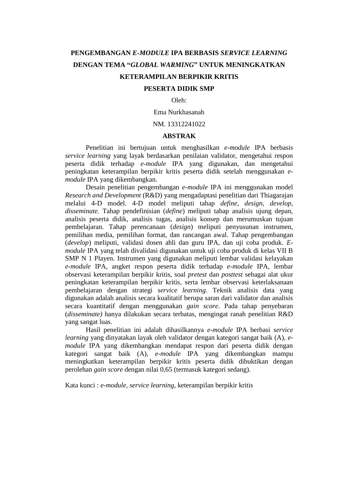# **PENGEMBANGAN** *E-MODULE* **IPA BERBASIS** *SERVICE LEARNING*  **DENGAN TEMA "***GLOBAL WARMING***" UNTUK MENINGKATKAN KETERAMPILAN BERPIKIR KRITIS**

### **PESERTA DIDIK SMP**

Oleh:

Ema Nurkhasanah

### NM. 13312241022

## **ABSTRAK**

Penelitian ini bertujuan untuk menghasilkan *e-module* IPA berbasis *service learning* yang layak berdasarkan penilaian validator, mengetahui respon peserta didik terhadap *e-module* IPA yang digunakan, dan mengetahui peningkatan keterampilan berpikir kritis peserta didik setelah menggunakan *emodule* IPA yang dikembangkan.

Desain penelitian pengembangan *e-module* IPA ini menggunakan model *Research and Development* (R&D) yang mengadaptasi penelitian dari Thiagarajan melalui 4-D model. 4-D model meliputi tahap *define, design, develop, disseminate.* Tahap pendefinisian (*define*) meliputi tahap analisis ujung depan, analisis peserta didik, analisis tugas, analisis konsep dan merumuskan tujuan pembelajaran. Tahap perencanaan (*design*) meliputi penyusunan instrumen, pemilihan media, pemilihan format, dan rancangan awal. Tahap pengembangan (*develop*) meliputi, validasi dosen ahli dan guru IPA, dan uji coba produk. *Emodule* IPA yang telah divalidasi digunakan untuk uji coba produk di kelas VII B SMP N 1 Playen. Instrumen yang digunakan meliputi lembar validasi kelayakan *e-module* IPA, angket respon peserta didik terhadap *e-module* IPA, lembar observasi keterampilan berpikir kritis, soal *pretest* dan *posttest* sebagai alat ukur peningkatan keterampilan berpikir kritis*,* serta lembar observasi keterlaksanaan pembelajaran dengan strategi *service learning*. Teknik analisis data yang digunakan adalah analisis secara kualitatif berupa saran dari validator dan analisis secara kuantitatif dengan menggunakan *gain score*. Pada tahap penyebaran (*disseminate)* hanya dilakukan secara terbatas, mengingat ranah penelitian R&D yang sangat luas.

Hasil penelitian ini adalah dihasilkannya *e-module* IPA berbasi *service learning* yang dinyatakan layak oleh validator dengan kategori sangat baik (A), *emodule* IPA yang dikembangkan mendapat respon dari peserta didik dengan kategori sangat baik (A), *e-module* IPA yang dikembangkan mampu meningkatkan keterampilan berpikir kritis peserta didik dibuktikan dengan perolehan *gain score* dengan nilai 0,65 (termasuk kategori sedang).

Kata kunci : *e-module, service learning*, keterampilan berpikir kritis